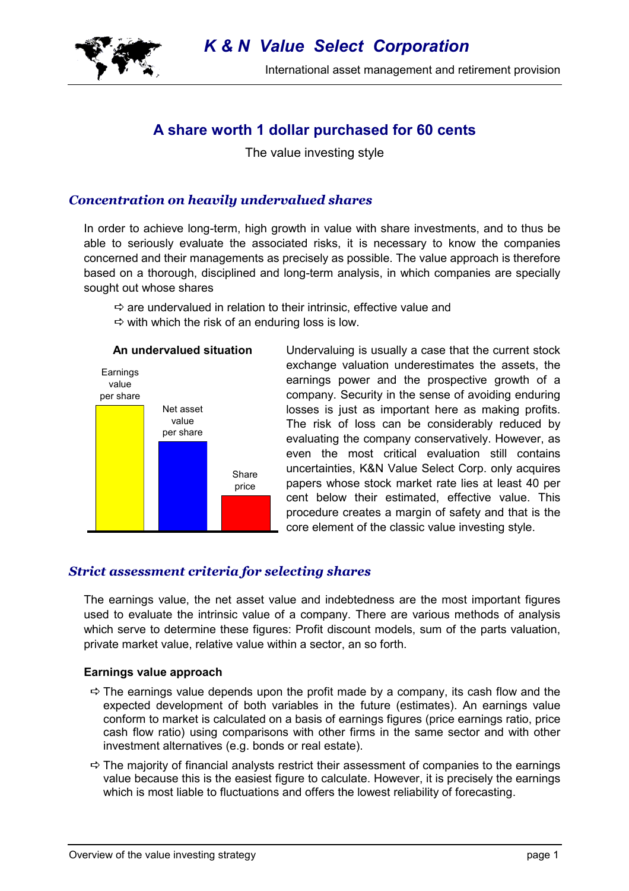

International asset management and retirement provision

# **A share worth 1 dollar purchased for 60 cents**

The value investing style

# *Concentration on heavily undervalued shares*

In order to achieve long-term, high growth in value with share investments, and to thus be able to seriously evaluate the associated risks, it is necessary to know the companies concerned and their managements as precisely as possible. The value approach is therefore based on a thorough, disciplined and long-term analysis, in which companies are specially sought out whose shares

 $\Rightarrow$  are undervalued in relation to their intrinsic, effective value and  $\Rightarrow$  with which the risk of an enduring loss is low.



Undervaluing is usually a case that the current stock exchange valuation underestimates the assets, the earnings power and the prospective growth of a company. Security in the sense of avoiding enduring losses is just as important here as making profits. The risk of loss can be considerably reduced by evaluating the company conservatively. However, as even the most critical evaluation still contains uncertainties, K&N Value Select Corp. only acquires papers whose stock market rate lies at least 40 per cent below their estimated, effective value. This procedure creates a margin of safety and that is the core element of the classic value investing style.

# *Strict assessment criteria for selecting shares*

The earnings value, the net asset value and indebtedness are the most important figures used to evaluate the intrinsic value of a company. There are various methods of analysis which serve to determine these figures: Profit discount models, sum of the parts valuation, private market value, relative value within a sector, an so forth.

## **Earnings value approach**

- $\Rightarrow$  The earnings value depends upon the profit made by a company, its cash flow and the expected development of both variables in the future (estimates). An earnings value conform to market is calculated on a basis of earnings figures (price earnings ratio, price cash flow ratio) using comparisons with other firms in the same sector and with other investment alternatives (e.g. bonds or real estate).
- $\Rightarrow$  The majority of financial analysts restrict their assessment of companies to the earnings value because this is the easiest figure to calculate. However, it is precisely the earnings which is most liable to fluctuations and offers the lowest reliability of forecasting.